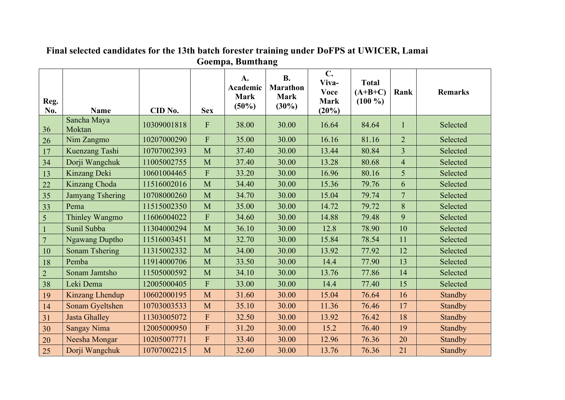| Reg.<br>No.    | <b>Name</b>             | CID No.     | <b>Sex</b>                | A.<br>Academic<br><b>Mark</b><br>$(50\%)$ | <b>B.</b><br><b>Marathon</b><br><b>Mark</b><br>$(30\%)$ | $\mathbf{C}$ .<br>Viva-<br><b>Voce</b><br><b>Mark</b><br>(20%) | <b>Total</b><br>$(A+B+C)$<br>$(100\%)$ | Rank                    | <b>Remarks</b> |
|----------------|-------------------------|-------------|---------------------------|-------------------------------------------|---------------------------------------------------------|----------------------------------------------------------------|----------------------------------------|-------------------------|----------------|
| 36             | Sancha Maya<br>Moktan   | 10309001818 | $\boldsymbol{\mathrm{F}}$ | 38.00                                     | 30.00                                                   | 16.64                                                          | 84.64                                  | $\mathbf{1}$            | Selected       |
| 26             | Nim Zangmo              | 10207000290 | $\overline{F}$            | 35.00                                     | 30.00                                                   | 16.16                                                          | 81.16                                  | $\overline{2}$          | Selected       |
| 17             | Kuenzang Tashi          | 10707002393 | $\mathbf M$               | 37.40                                     | 30.00                                                   | 13.44                                                          | 80.84                                  | $\overline{\mathbf{3}}$ | Selected       |
| 34             | Dorji Wangchuk          | 11005002755 | M                         | 37.40                                     | 30.00                                                   | 13.28                                                          | 80.68                                  | $\overline{4}$          | Selected       |
| 13             | Kinzang Deki            | 10601004465 | F                         | 33.20                                     | 30.00                                                   | 16.96                                                          | 80.16                                  | 5                       | Selected       |
| 22             | Kinzang Choda           | 11516002016 | M                         | 34.40                                     | 30.00                                                   | 15.36                                                          | 79.76                                  | 6                       | Selected       |
| 35             | <b>Jamyang Tshering</b> | 10708000260 | M                         | 34.70                                     | 30.00                                                   | 15.04                                                          | 79.74                                  | $7\phantom{.0}$         | Selected       |
| 33             | Pema                    | 11515002350 | M                         | 35.00                                     | 30.00                                                   | 14.72                                                          | 79.72                                  | 8                       | Selected       |
| 5              | Thinley Wangmo          | 11606004022 | $\overline{F}$            | 34.60                                     | 30.00                                                   | 14.88                                                          | 79.48                                  | 9                       | Selected       |
| $\sqrt{1}$     | Sunil Subba             | 11304000294 | M                         | 36.10                                     | 30.00                                                   | 12.8                                                           | 78.90                                  | 10                      | Selected       |
| $\overline{7}$ | <b>Ngawang Duptho</b>   | 11516003451 | $\mathbf M$               | 32.70                                     | 30.00                                                   | 15.84                                                          | 78.54                                  | 11                      | Selected       |
| 10             | <b>Sonam Tshering</b>   | 11315002332 | $\mathbf M$               | 34.00                                     | 30.00                                                   | 13.92                                                          | 77.92                                  | 12                      | Selected       |
| 18             | Pemba                   | 11914000706 | M                         | 33.50                                     | 30.00                                                   | 14.4                                                           | 77.90                                  | 13                      | Selected       |
| $\overline{2}$ | Sonam Jamtsho           | 11505000592 | M                         | 34.10                                     | 30.00                                                   | 13.76                                                          | 77.86                                  | 14                      | Selected       |
| 38             | Leki Dema               | 12005000405 | ${\bf F}$                 | 33.00                                     | 30.00                                                   | 14.4                                                           | 77.40                                  | 15                      | Selected       |
| 19             | Kinzang Lhendup         | 10602000195 | M                         | 31.60                                     | 30.00                                                   | 15.04                                                          | 76.64                                  | 16                      | Standby        |
| 14             | Sonam Gyeltshen         | 10703003533 | M                         | 35.10                                     | 30.00                                                   | 11.36                                                          | 76.46                                  | 17                      | Standby        |
| 31             | <b>Jasta Ghalley</b>    | 11303005072 | ${\bf F}$                 | 32.50                                     | 30.00                                                   | 13.92                                                          | 76.42                                  | 18                      | Standby        |
| 30             | <b>Sangay Nima</b>      | 12005000950 | ${\bf F}$                 | 31.20                                     | 30.00                                                   | 15.2                                                           | 76.40                                  | 19                      | Standby        |
| 20             | Neesha Mongar           | 10205007771 | ${\bf F}$                 | 33.40                                     | 30.00                                                   | 12.96                                                          | 76.36                                  | 20                      | Standby        |
| 25             | Dorji Wangchuk          | 10707002215 | M                         | 32.60                                     | 30.00                                                   | 13.76                                                          | 76.36                                  | 21                      | Standby        |

## **Final selected candidates for the 13th batch forester training under DoFPS at UWICER, Lamai Goempa, Bumthang**